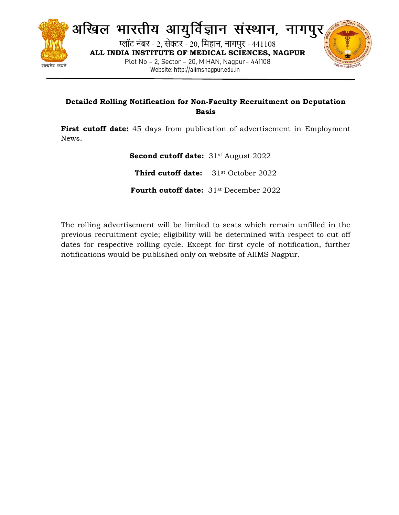

अखिल भारतीय आयुर्विज्ञान संस्थान, नागपुर प्लॉट नंबर - 2, सेक्टर - 20, मिहान, नागपुर - 441108 ALL INDIA INSTITUTE OF MEDICAL SCIENCES, NAGPUR Plot No – 2, Sector – 20, MIHAN, Nagpur– 441108 Website: http://aiimsnagpur.edu.in



## Detailed Rolling Notification for Non-Faculty Recruitment on Deputation Basis

First cutoff date: 45 days from publication of advertisement in Employment News.

> Second cutoff date: 31<sup>st</sup> August 2022 Third cutoff date: 31<sup>st</sup> October 2022 Fourth cutoff date: 31<sup>st</sup> December 2022

The rolling advertisement will be limited to seats which remain unfilled in the previous recruitment cycle; eligibility will be determined with respect to cut off dates for respective rolling cycle. Except for first cycle of notification, further notifications would be published only on website of AIIMS Nagpur.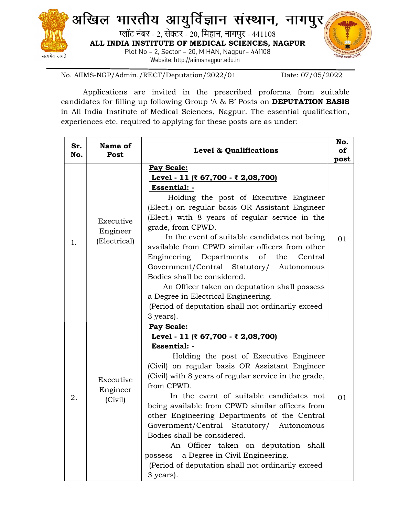

No. AIIMS-NGP/Admin./RECT/Deputation/2022/01 Date: 07/05/2022

Applications are invited in the prescribed proforma from suitable candidates for filling up following Group 'A & B' Posts on DEPUTATION BASIS in All India Institute of Medical Sciences, Nagpur. The essential qualification, experiences etc. required to applying for these posts are as under:

| Sr.<br>No. | Name of<br>Post                       | Level & Qualifications                                                                                                                                                                                                                                                                                                                                                                                                                                                                                                                                                                                                                      | No.<br>of<br>post |
|------------|---------------------------------------|---------------------------------------------------------------------------------------------------------------------------------------------------------------------------------------------------------------------------------------------------------------------------------------------------------------------------------------------------------------------------------------------------------------------------------------------------------------------------------------------------------------------------------------------------------------------------------------------------------------------------------------------|-------------------|
| 1.         | Executive<br>Engineer<br>(Electrical) | Pay Scale:<br><u>Level - 11 (₹ 67,700 - ₹ 2,08,700)</u><br>Essential: -<br>Holding the post of Executive Engineer<br>(Elect.) on regular basis OR Assistant Engineer<br>(Elect.) with 8 years of regular service in the<br>grade, from CPWD.<br>In the event of suitable candidates not being<br>available from CPWD similar officers from other<br>Engineering Departments<br>of<br>the<br>Central<br>Government/Central Statutory/<br>Autonomous<br>Bodies shall be considered.<br>An Officer taken on deputation shall possess<br>a Degree in Electrical Engineering.<br>(Period of deputation shall not ordinarily exceed)<br>3 years). | 01                |
| 2.         | Executive<br>Engineer<br>(Civil)      | Pay Scale:<br>Level - 11 (₹ 67,700 - ₹ 2,08,700)<br>Essential: -<br>Holding the post of Executive Engineer<br>(Civil) on regular basis OR Assistant Engineer<br>(Civil) with 8 years of regular service in the grade,<br>from CPWD.<br>In the event of suitable candidates not<br>being available from CPWD similar officers from<br>other Engineering Departments of the Central<br>Government/Central Statutory/ Autonomous<br>Bodies shall be considered.<br>An Officer taken on deputation shall<br>possess a Degree in Civil Engineering.<br>(Period of deputation shall not ordinarily exceed<br>3 years).                            | 01                |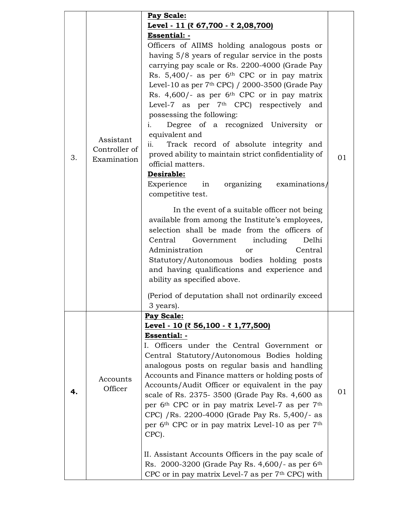|    |                                           | Pay Scale:                                                                                                                                                                                                                                                                                                                                                                                                                                                                                                                                                                                                                                                                                                                                                  |    |
|----|-------------------------------------------|-------------------------------------------------------------------------------------------------------------------------------------------------------------------------------------------------------------------------------------------------------------------------------------------------------------------------------------------------------------------------------------------------------------------------------------------------------------------------------------------------------------------------------------------------------------------------------------------------------------------------------------------------------------------------------------------------------------------------------------------------------------|----|
|    |                                           | Level - 11 (₹ 67,700 - ₹ 2,08,700)                                                                                                                                                                                                                                                                                                                                                                                                                                                                                                                                                                                                                                                                                                                          |    |
|    |                                           | Essential: -                                                                                                                                                                                                                                                                                                                                                                                                                                                                                                                                                                                                                                                                                                                                                |    |
| 3. | Assistant<br>Controller of<br>Examination | Officers of AIIMS holding analogous posts or<br>having 5/8 years of regular service in the posts<br>carrying pay scale or Rs. 2200-4000 (Grade Pay<br>Rs. $5,400/$ - as per 6 <sup>th</sup> CPC or in pay matrix<br>Level-10 as per $7th$ CPC) / 2000-3500 (Grade Pay<br>Rs. $4,600/$ - as per 6 <sup>th</sup> CPC or in pay matrix<br>Level-7 as per 7 <sup>th</sup> CPC) respectively and<br>possessing the following:<br>Degree of a recognized University or<br>i.<br>equivalent and<br>Track record of absolute integrity and<br>$\overline{\mathbf{ii}}$ .<br>proved ability to maintain strict confidentiality of<br>official matters.<br>Desirable:<br>Experience in organizing examinations                                                        | 01 |
|    |                                           | competitive test.<br>In the event of a suitable officer not being<br>available from among the Institute's employees,<br>selection shall be made from the officers of<br>Central Government including<br>Delhi<br>Administration<br>Central<br>or<br>Statutory/Autonomous bodies holding posts<br>and having qualifications and experience and<br>ability as specified above.                                                                                                                                                                                                                                                                                                                                                                                |    |
|    |                                           | (Period of deputation shall not ordinarily exceed<br>3 years).                                                                                                                                                                                                                                                                                                                                                                                                                                                                                                                                                                                                                                                                                              |    |
|    |                                           | Pay Scale:                                                                                                                                                                                                                                                                                                                                                                                                                                                                                                                                                                                                                                                                                                                                                  |    |
| 4. | Accounts<br>Officer                       | Level - 10 (₹ 56,100 - ₹ 1,77,500)<br>Essential: -<br>I. Officers under the Central Government or<br>Central Statutory/Autonomous Bodies holding<br>analogous posts on regular basis and handling<br>Accounts and Finance matters or holding posts of<br>Accounts/Audit Officer or equivalent in the pay<br>scale of Rs. 2375-3500 (Grade Pay Rs. 4,600 as<br>per 6 <sup>th</sup> CPC or in pay matrix Level-7 as per 7 <sup>th</sup><br>CPC) /Rs. 2200-4000 (Grade Pay Rs. 5,400/- as<br>per 6 <sup>th</sup> CPC or in pay matrix Level-10 as per 7 <sup>th</sup><br>CPC).<br>II. Assistant Accounts Officers in the pay scale of<br>Rs. 2000-3200 (Grade Pay Rs. $4,600/$ - as per 6 <sup>th</sup><br>CPC or in pay matrix Level-7 as per $7th$ CPC) with | 01 |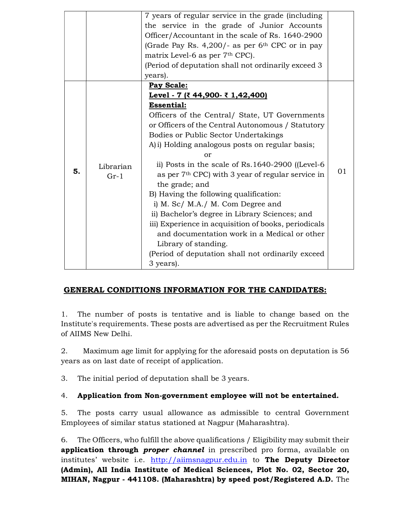|    |                     | 7 years of regular service in the grade (including             |    |
|----|---------------------|----------------------------------------------------------------|----|
|    |                     | the service in the grade of Junior Accounts                    |    |
|    |                     | Officer/Accountant in the scale of Rs. 1640-2900               |    |
|    |                     | (Grade Pay Rs. $4,200/$ - as per 6 <sup>th</sup> CPC or in pay |    |
|    |                     | matrix Level-6 as per 7 <sup>th</sup> CPC).                    |    |
|    |                     | (Period of deputation shall not ordinarily exceed 3            |    |
|    |                     | years).                                                        |    |
|    |                     | Pay Scale:                                                     |    |
|    | Librarian<br>$Gr-1$ | Level - 7 (₹ 44,900- ₹ 1,42,400)                               |    |
|    |                     | <b>Essential:</b>                                              |    |
|    |                     | Officers of the Central/ State, UT Governments                 |    |
|    |                     | or Officers of the Central Autonomous / Statutory              |    |
|    |                     | <b>Bodies or Public Sector Undertakings</b>                    |    |
|    |                     | A) i) Holding analogous posts on regular basis;                |    |
|    |                     | or                                                             |    |
|    |                     | ii) Posts in the scale of $Rs.1640-2900$ ([Level-6             |    |
| 5. |                     | as per 7 <sup>th</sup> CPC) with 3 year of regular service in  | 01 |
|    |                     | the grade; and                                                 |    |
|    |                     | B) Having the following qualification:                         |    |
|    |                     | i) M. Sc/ M.A./ M. Com Degree and                              |    |
|    |                     | ii) Bachelor's degree in Library Sciences; and                 |    |
|    |                     | iii) Experience in acquisition of books, periodicals           |    |
|    |                     | and documentation work in a Medical or other                   |    |
|    |                     | Library of standing.                                           |    |
|    |                     | (Period of deputation shall not ordinarily exceed)             |    |
|    |                     |                                                                |    |
|    |                     | 3 years).                                                      |    |

## GENERAL CONDITIONS INFORMATION FOR THE CANDIDATES:

1. The number of posts is tentative and is liable to change based on the Institute's requirements. These posts are advertised as per the Recruitment Rules of AIIMS New Delhi.

2. Maximum age limit for applying for the aforesaid posts on deputation is 56 years as on last date of receipt of application.

3. The initial period of deputation shall be 3 years.

## 4. Application from Non-government employee will not be entertained.

5. The posts carry usual allowance as admissible to central Government Employees of similar status stationed at Nagpur (Maharashtra).

6. The Officers, who fulfill the above qualifications / Eligibility may submit their application through *proper channel* in prescribed pro forma, available on institutes' website i.e. http://aiimsnagpur.edu.in to The Deputy Director (Admin), All India Institute of Medical Sciences, Plot No. 02, Sector 20, MIHAN, Nagpur - 441108. (Maharashtra) by speed post/Registered A.D. The